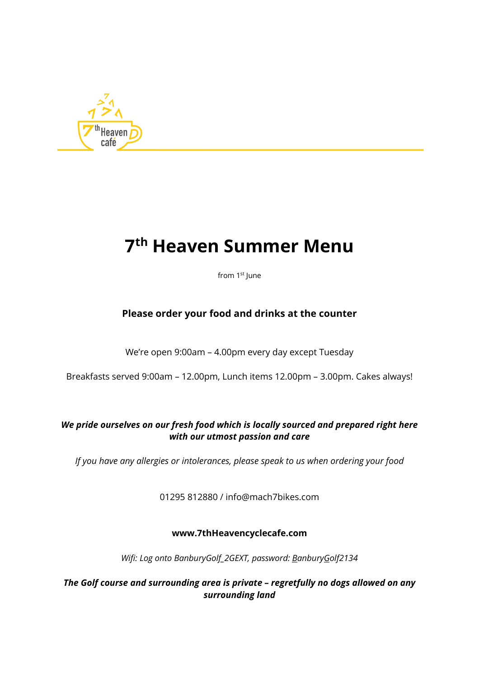

# **7th Heaven Summer Menu**

from 1<sup>st</sup> June

## **Please order your food and drinks at the counter**

We're open 9:00am – 4.00pm every day except Tuesday

Breakfasts served 9:00am – 12.00pm, Lunch items 12.00pm – 3.00pm. Cakes always!

#### *We pride ourselves on our fresh food which is locally sourced and prepared right here with our utmost passion and care*

*If you have any allergies or intolerances, please speak to us when ordering your food*

01295 812880 / info@mach7bikes.com

#### **www.7thHeavencyclecafe.com**

*Wifi: Log onto BanburyGolf\_2GEXT, password: BanburyGolf2134*

*The Golf course and surrounding area is private – regretfully no dogs allowed on any surrounding land*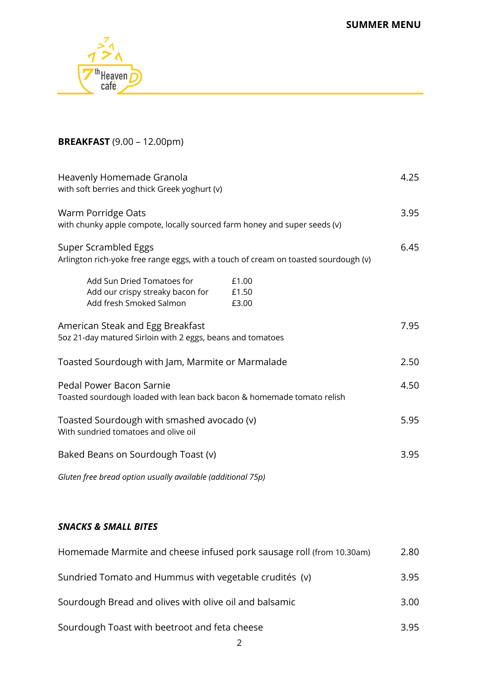**SUMMER MENU**



# **BREAKFAST** (9.00 – 12.00pm)

| Heavenly Homemade Granola<br>with soft berries and thick Greek yoghurt (v)                                           | 4.25 |
|----------------------------------------------------------------------------------------------------------------------|------|
| Warm Porridge Oats<br>with chunky apple compote, locally sourced farm honey and super seeds (v)                      | 3.95 |
| Super Scrambled Eggs<br>Arlington rich-yoke free range eggs, with a touch of cream on toasted sourdough (v)          | 6.45 |
| Add Sun Dried Tomatoes for<br>£1.00<br>Add our crispy streaky bacon for<br>£1.50<br>Add fresh Smoked Salmon<br>£3.00 |      |
| American Steak and Egg Breakfast<br>5oz 21-day matured Sirloin with 2 eggs, beans and tomatoes                       | 7.95 |
| Toasted Sourdough with Jam, Marmite or Marmalade                                                                     | 2.50 |
| Pedal Power Bacon Sarnie<br>Toasted sourdough loaded with lean back bacon & homemade tomato relish                   | 4.50 |
| Toasted Sourdough with smashed avocado (v)<br>With sundried tomatoes and olive oil                                   | 5.95 |
| Baked Beans on Sourdough Toast (v)                                                                                   | 3.95 |
| Gluten free bread option usually available (additional 75p)                                                          |      |

# *SNACKS & SMALL BITES*

| Homemade Marmite and cheese infused pork sausage roll (from 10.30am) | 2.80 |
|----------------------------------------------------------------------|------|
| Sundried Tomato and Hummus with vegetable crudités (v)               | 3.95 |
| Sourdough Bread and olives with olive oil and balsamic               | 3.00 |
| Sourdough Toast with beetroot and feta cheese                        | 3.95 |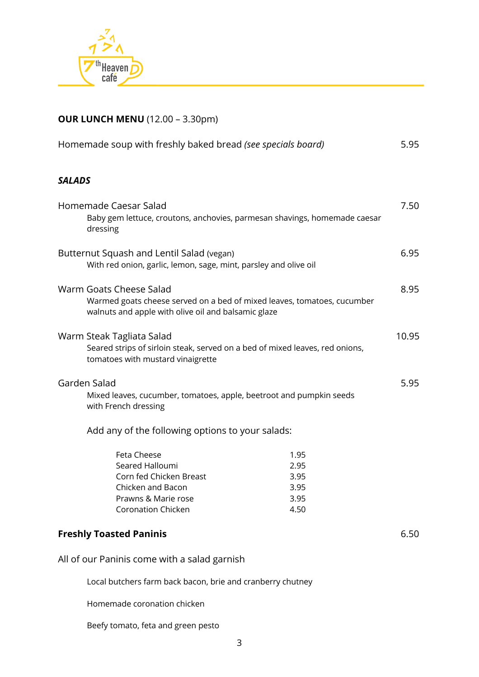

# **OUR LUNCH MENU** (12.00 – 3.30pm)

| Homemade soup with freshly baked bread (see specials board)                                                                                               |                                              |  |
|-----------------------------------------------------------------------------------------------------------------------------------------------------------|----------------------------------------------|--|
| <b>SALADS</b>                                                                                                                                             |                                              |  |
| Homemade Caesar Salad<br>Baby gem lettuce, croutons, anchovies, parmesan shavings, homemade caesar<br>dressing                                            | 7.50                                         |  |
| Butternut Squash and Lentil Salad (vegan)<br>With red onion, garlic, lemon, sage, mint, parsley and olive oil                                             | 6.95                                         |  |
| Warm Goats Cheese Salad<br>Warmed goats cheese served on a bed of mixed leaves, tomatoes, cucumber<br>walnuts and apple with olive oil and balsamic glaze | 8.95                                         |  |
| Warm Steak Tagliata Salad<br>Seared strips of sirloin steak, served on a bed of mixed leaves, red onions,<br>tomatoes with mustard vinaigrette            | 10.95                                        |  |
| Garden Salad<br>Mixed leaves, cucumber, tomatoes, apple, beetroot and pumpkin seeds<br>with French dressing                                               | 5.95                                         |  |
| Add any of the following options to your salads:                                                                                                          |                                              |  |
| Feta Cheese<br>Seared Halloumi<br>Corn fed Chicken Breast<br>Chicken and Bacon<br>Prawns & Marie rose<br><b>Coronation Chicken</b>                        | 1.95<br>2.95<br>3.95<br>3.95<br>3.95<br>4.50 |  |
| <b>Freshly Toasted Paninis</b>                                                                                                                            | 6.50                                         |  |
| All of our Paninis come with a salad garnish                                                                                                              |                                              |  |
| Local butchers farm back bacon, brie and cranberry chutney                                                                                                |                                              |  |

Homemade coronation chicken

Beefy tomato, feta and green pesto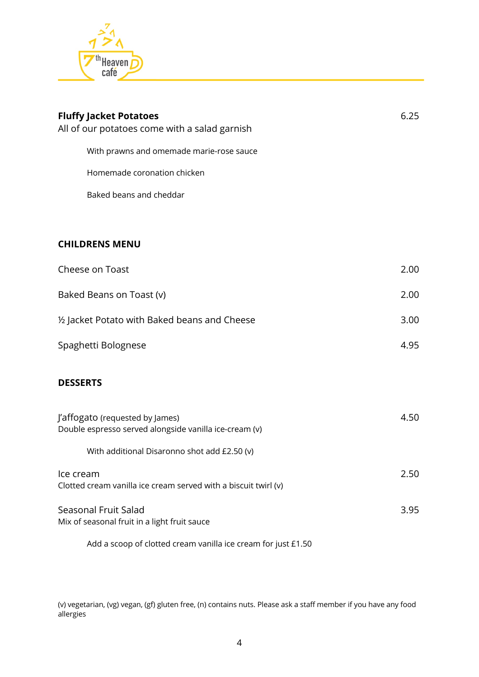

| <b>Fluffy Jacket Potatoes</b><br>All of our potatoes come with a salad garnish            | 6.25 |
|-------------------------------------------------------------------------------------------|------|
| With prawns and omemade marie-rose sauce                                                  |      |
| Homemade coronation chicken                                                               |      |
| Baked beans and cheddar                                                                   |      |
|                                                                                           |      |
| <b>CHILDRENS MENU</b>                                                                     |      |
| Cheese on Toast                                                                           | 2.00 |
| Baked Beans on Toast (v)                                                                  | 2.00 |
| 1/2 Jacket Potato with Baked beans and Cheese                                             | 3.00 |
| Spaghetti Bolognese                                                                       | 4.95 |
| <b>DESSERTS</b>                                                                           |      |
| J'affogato (requested by James)<br>Double espresso served alongside vanilla ice-cream (v) | 4.50 |
| With additional Disaronno shot add £2.50 (v)                                              |      |
| Ice cream<br>Clotted cream vanilla ice cream served with a biscuit twirl (v)              | 2.50 |
| Seasonal Fruit Salad<br>Mix of seasonal fruit in a light fruit sauce                      | 3.95 |

Add a scoop of clotted cream vanilla ice cream for just £1.50

(v) vegetarian, (vg) vegan, (gf) gluten free, (n) contains nuts. Please ask a staff member if you have any food allergies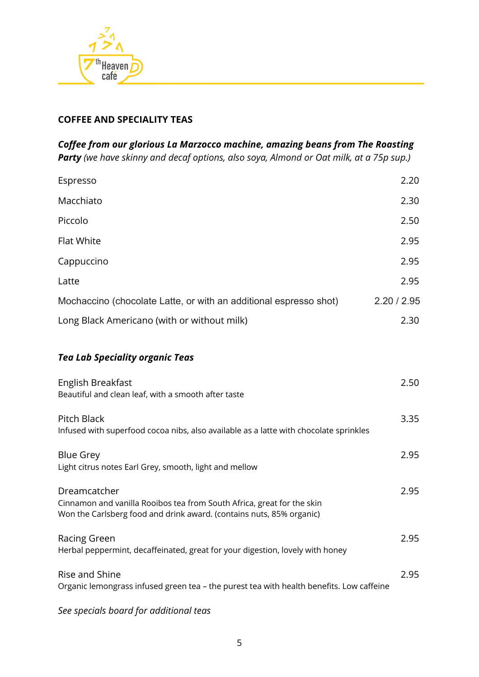

#### **COFFEE AND SPECIALITY TEAS**

*Coffee from our glorious La Marzocco machine, amazing beans from The Roasting Party (we have skinny and decaf options, also soya, Almond or Oat milk, at a 75p sup.)*

| Espresso                                                          | 2.20        |
|-------------------------------------------------------------------|-------------|
| Macchiato                                                         | 2.30        |
| Piccolo                                                           | 2.50        |
| <b>Flat White</b>                                                 | 2.95        |
| Cappuccino                                                        | 2.95        |
| Latte                                                             | 2.95        |
| Mochaccino (chocolate Latte, or with an additional espresso shot) | 2.20 / 2.95 |
| Long Black Americano (with or without milk)                       | 2.30        |

#### *Tea Lab Speciality organic Teas*

| English Breakfast                                                                                                                              | 2.50 |
|------------------------------------------------------------------------------------------------------------------------------------------------|------|
| Beautiful and clean leaf, with a smooth after taste                                                                                            |      |
| Pitch Black                                                                                                                                    | 3.35 |
| Infused with superfood cocoa nibs, also available as a latte with chocolate sprinkles                                                          |      |
| <b>Blue Grey</b>                                                                                                                               | 2.95 |
| Light citrus notes Earl Grey, smooth, light and mellow                                                                                         |      |
| Dreamcatcher                                                                                                                                   | 2.95 |
| Cinnamon and vanilla Rooibos tea from South Africa, great for the skin<br>Won the Carlsberg food and drink award. (contains nuts, 85% organic) |      |
| Racing Green                                                                                                                                   | 2.95 |
| Herbal peppermint, decaffeinated, great for your digestion, lovely with honey                                                                  |      |
| Rise and Shine                                                                                                                                 | 2.95 |
| Organic lemongrass infused green tea - the purest tea with health benefits. Low caffeine                                                       |      |
|                                                                                                                                                |      |

*See specials board for additional teas*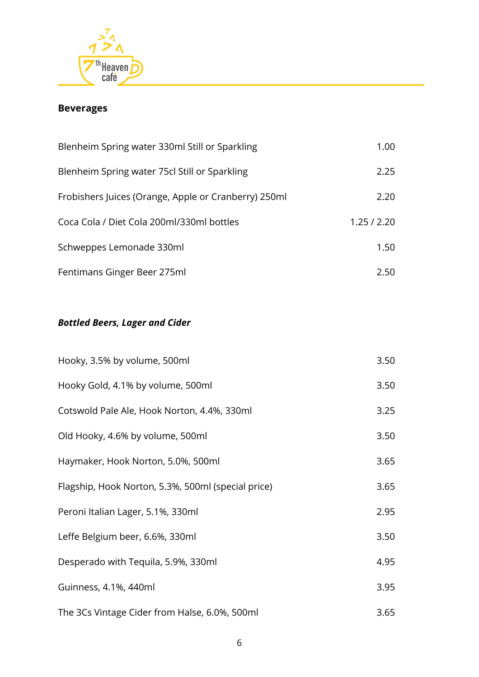

# **Beverages**

| Blenheim Spring water 330ml Still or Sparkling       | 1.00        |
|------------------------------------------------------|-------------|
| Blenheim Spring water 75cl Still or Sparkling        | 2.25        |
| Frobishers Juices (Orange, Apple or Cranberry) 250ml | 2.20        |
| Coca Cola / Diet Cola 200ml/330ml bottles            | 1.25 / 2.20 |
| Schweppes Lemonade 330ml                             | 1.50        |
| Fentimans Ginger Beer 275ml                          | 2 50        |

# *Bottled Beers, Lager and Cider*

| Hooky, 3.5% by volume, 500ml                       | 3.50 |
|----------------------------------------------------|------|
| Hooky Gold, 4.1% by volume, 500ml                  | 3.50 |
| Cotswold Pale Ale, Hook Norton, 4.4%, 330ml        | 3.25 |
| Old Hooky, 4.6% by volume, 500ml                   | 3.50 |
| Haymaker, Hook Norton, 5.0%, 500ml                 | 3.65 |
| Flagship, Hook Norton, 5.3%, 500ml (special price) | 3.65 |
| Peroni Italian Lager, 5.1%, 330ml                  | 2.95 |
| Leffe Belgium beer, 6.6%, 330ml                    | 3.50 |
| Desperado with Tequila, 5.9%, 330ml                | 4.95 |
| Guinness, 4.1%, 440ml                              | 3.95 |
| The 3Cs Vintage Cider from Halse, 6.0%, 500ml      | 3.65 |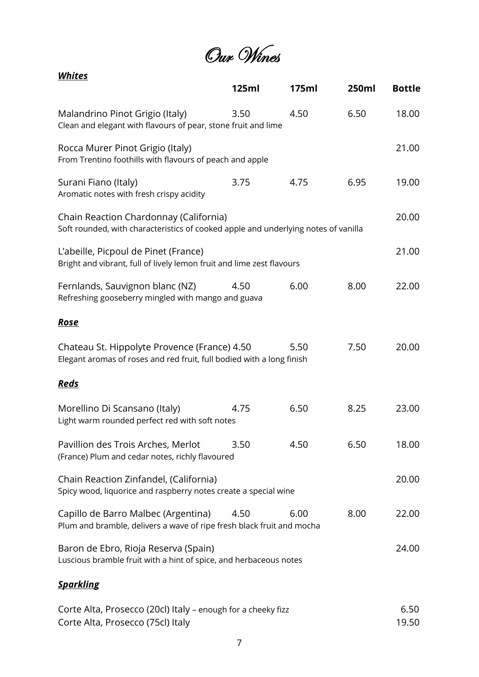Our Wines

| <b>Whites</b>                                                                                                                |       |       |       |               |
|------------------------------------------------------------------------------------------------------------------------------|-------|-------|-------|---------------|
|                                                                                                                              | 125ml | 175ml | 250ml | <b>Bottle</b> |
| Malandrino Pinot Grigio (Italy)<br>Clean and elegant with flavours of pear, stone fruit and lime                             | 3.50  | 4.50  | 6.50  | 18.00         |
| Rocca Murer Pinot Grigio (Italy)<br>From Trentino foothills with flavours of peach and apple                                 |       |       |       | 21.00         |
| Surani Fiano (Italy)<br>Aromatic notes with fresh crispy acidity                                                             | 3.75  | 4.75  | 6.95  | 19.00         |
| Chain Reaction Chardonnay (California)<br>Soft rounded, with characteristics of cooked apple and underlying notes of vanilla |       |       |       | 20.00         |
| L'abeille, Picpoul de Pinet (France)<br>Bright and vibrant, full of lively lemon fruit and lime zest flavours                |       |       |       | 21.00         |
| Fernlands, Sauvignon blanc (NZ)<br>Refreshing gooseberry mingled with mango and guava                                        | 4.50  | 6.00  | 8.00  | 22.00         |
| <b>Rose</b>                                                                                                                  |       |       |       |               |
| Chateau St. Hippolyte Provence (France) 4.50<br>Elegant aromas of roses and red fruit, full bodied with a long finish        |       | 5.50  | 7.50  | 20.00         |
| <u>Reds</u>                                                                                                                  |       |       |       |               |
| Morellino Di Scansano (Italy)<br>Light warm rounded perfect red with soft notes                                              | 4.75  | 6.50  | 8.25  | 23.00         |
| Pavillion des Trois Arches, Merlot<br>(France) Plum and cedar notes, richly flavoured                                        | 3.50  | 4.50  | 6.50  | 18.00         |
| Chain Reaction Zinfandel, (California)<br>Spicy wood, liquorice and raspberry notes create a special wine                    |       |       |       | 20.00         |
| Capillo de Barro Malbec (Argentina)<br>Plum and bramble, delivers a wave of ripe fresh black fruit and mocha                 | 4.50  | 6.00  | 8.00  | 22.00         |
| Baron de Ebro, Rioja Reserva (Spain)<br>Luscious bramble fruit with a hint of spice, and herbaceous notes                    |       |       |       | 24.00         |
| <u>Sparkling</u>                                                                                                             |       |       |       |               |

| Corte Alta, Prosecco (20cl) Italy – enough for a cheeky fizz | 6.50  |
|--------------------------------------------------------------|-------|
| Corte Alta, Prosecco (75cl) Italy                            | 19.50 |